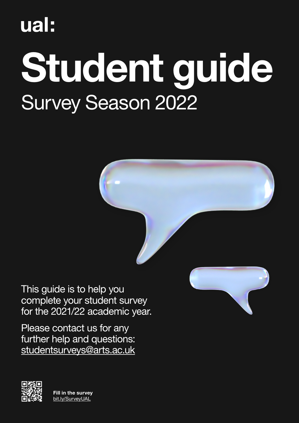# Survey Season 2022 Student guide

This guide is to help you complete your student survey for the 2021/22 academic year.

Please contact us for any further help and questions: [studentsurveys@arts.ac.uk](mailto:studentsurveys%40arts.ac.uk?subject=)



 $\mathbb{R}$  and  $\mathbb{R}$  and  $\mathbb{R}$  Fill in the survey <u>Le c</u>entre de la contradición de la contradición de la contradición de la contradición de la contradición de la <br>Desenvolver de la contradición de la contradición de la contradición de la contradición de la contradición d [bit.ly/SurveyUAL](http://bit.ly/SurveyUAL)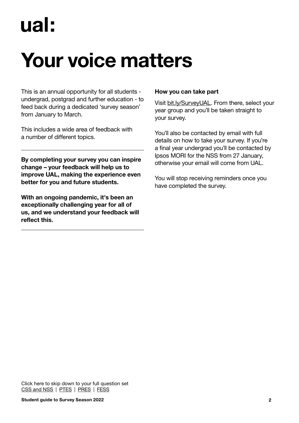### Your voice matters

This is an annual opportunity for all students undergrad, postgrad and further education - to feed back during a dedicated 'survey season' from January to March.

This includes a wide area of feedback with a number of different topics.

By completing your survey you can inspire change – your feedback will help us to improve UAL, making the experience even better for you and future students.

With an ongoing pandemic, it's been an exceptionally challenging year for all of us, and we understand your feedback will reflect this.

#### How you can take part

Visit [bit.ly/SurveyUAL.](http://bit.ly/surveyual) From there, select your year group and you'll be taken straight to your survey.

You'll also be contacted by email with full details on how to take your survey. If you're a final year undergrad you'll be contacted by Ipsos MORI for the NSS from 27 January, otherwise your email will come from UAL.

You will stop receiving reminders once you have completed the survey.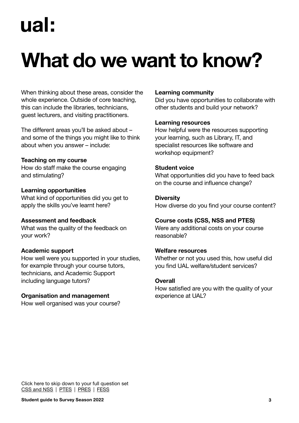### What do we want to know?

When thinking about these areas, consider the whole experience. Outside of core teaching, this can include the libraries, technicians, guest lecturers, and visiting practitioners.

The different areas you'll be asked about – and some of the things you might like to think about when you answer – include:

#### Teaching on my course

How do staff make the course engaging and stimulating?

#### Learning opportunities

What kind of opportunities did you get to apply the skills you've learnt here?

#### Assessment and feedback

What was the quality of the feedback on your work?

#### Academic support

How well were you supported in your studies, for example through your course tutors, technicians, and Academic Support including language tutors?

#### Organisation and management

How well organised was your course?

#### Learning community

Did you have opportunities to collaborate with other students and build your network?

#### Learning resources

How helpful were the resources supporting your learning, such as Library, IT, and specialist resources like software and workshop equipment?

#### Student voice

What opportunities did you have to feed back on the course and influence change?

#### **Diversity**

How diverse do you find your course content?

#### Course costs (CSS, NSS and PTES)

Were any additional costs on your course reasonable?

#### Welfare resources

Whether or not you used this, how useful did you find UAL welfare/student services?

#### **Overall**

How satisfied are you with the quality of your experience at UAL?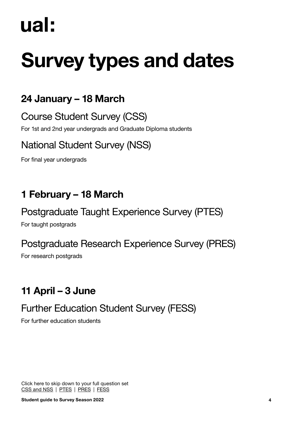## Survey types and dates

### 24 January – 18 March

Course Student Survey (CSS)

For 1st and 2nd year undergrads and Graduate Diploma students

### National Student Survey (NSS)

For final year undergrads

### 1 February – 18 March

Postgraduate Taught Experience Survey (PTES)

For taught postgrads

### Postgraduate Research Experience Survey (PRES)

For research postgrads

### 11 April – 3 June

### Further Education Student Survey (FESS)

For further education students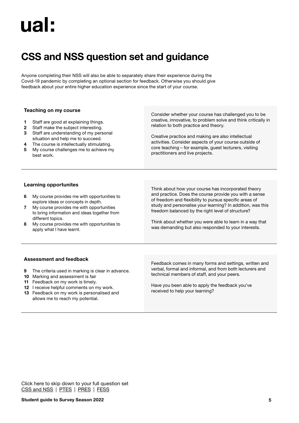### <span id="page-4-0"></span>CSS and NSS question set and guidance

Anyone completing their NSS will also be able to separately share their experience during the Covid-19 pandemic by completing an optional section for feedback. Otherwise you should give feedback about your entire higher education experience since the start of your course.

#### Teaching on my course

- **1** Staff are good at explaining things.
- **2** Staff make the subject interesting.
- **3** Staff are understanding of my personal situation and help me to succeed.
- **4** The course is intellectually stimulating.
- **5** My course challenges me to achieve my best work.

Consider whether your course has challenged you to be creative, innovative, to problem solve and think critically in relation to both practice and theory.

Creative practice and making are also intellectual activities. Consider aspects of your course outside of core teaching – for example, guest lecturers, visiting practitioners and live projects.

#### Learning opportunites

- **6** My course provides me with opportunities to explore ideas or concepts in depth.
- **7** My course provides me with opportunities to bring information and ideas together from different topics.
- **8** My course provides me with opportunities to apply what I have learnt.

Think about how your course has incorporated theory and practice. Does the course provide you with a sense of freedom and flexibility to pursue specific areas of study and personalise your learning? In addition, was this freedom balanced by the right level of structure?

Think about whether you were able to learn in a way that was demanding but also responded to your interests.

#### Assessment and feedback

- **9** The criteria used in marking is clear in advance.
- **10** Marking and assessment is fair
- **11** Feedback on my work is timely.
- **12** I receive helpful comments on my work.
- **13** Feedback on my work is personalised and allows me to reach my potential.

Feedback comes in many forms and settings, written and verbal, formal and informal, and from both lecturers and technical members of staff, and your peers.

Have you been able to apply the feedback you've received to help your learning?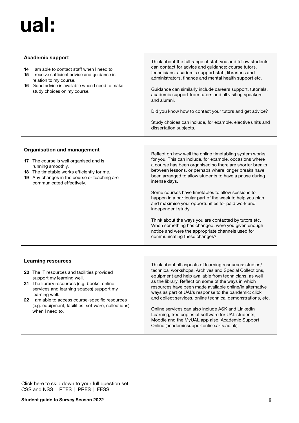#### Academic support

- **14** I am able to contact staff when I need to.
- **15** I receive sufficient advice and guidance in relation to my course.
- **16** Good advice is available when I need to make study choices on my course.

Think about the full range of staff you and fellow students can contact for advice and guidance: course tutors, technicians, academic support staff, librarians and administrators, finance and mental health support etc.

Guidance can similarly include careers support, tutorials, academic support from tutors and all visiting speakers and alumni.

Did you know how to contact your tutors and get advice?

Study choices can include, for example, elective units and dissertation subjects.

#### Organisation and management

- **17** The course is well organised and is running smoothly.
- **18** The timetable works efficiently for me.
- **19** Any changes in the course or teaching are communicated effectively.

Reflect on how well the online timetabling system works for you. This can include, for example, occasions where a course has been organised so there are shorter breaks between lessons, or perhaps where longer breaks have been arranged to allow students to have a pause during intense days.

Some courses have timetables to allow sessions to happen in a particular part of the week to help you plan and maximise your opportunities for paid work and independent study.

Think about the ways you are contacted by tutors etc. When something has changed, were you given enough notice and were the appropriate channels used for communicating these changes?

#### Learning resources

- **20** The IT resources and facilities provided support my learning well.
- **21** The library resources (e.g. books, online services and learning spaces) support my learning well.
- **22** I am able to access course-specific resources (e.g. equipment, facilities, software, collections) when I need to.

Think about all aspects of learning resources: studios/ technical workshops, Archives and Special Collections, equipment and help available from technicians, as well as the library. Reflect on some of the ways in which resources have been made available online/in alternative ways as part of UAL's response to the pandemic: click and collect services, online technical demonstrations, etc.

Online services can also include ASK and LinkedIn Learning, free copies of software for UAL students, Moodle and the MyUAL app also, Academic Support Online (academicsupportonline.arts.ac.uk).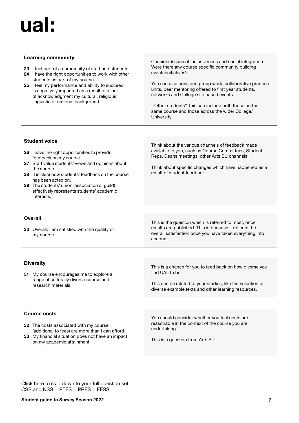#### Learning community

- **23** I feel part of a community of staff and students.
- **24** I have the right opportunities to work with other students as part of my course.
- **25** I feel my performance and ability to succeed is negatively impacted as a result of a lack of acknowledgment my cultural, religious, linguistic or national background.

Consider issues of inclusiveness and social integration. Were there any course specific community building events/initiatives?

You can also consider: group work, collaborative practice units, peer mentoring offered to first year students, networks and College site based events.

 "Other students", this can include both those on the same course and those across the wider College/ University.

#### Student voice

- **26** I have the right opportunities to provide feedback on my course.
- **27** Staff value students' views and opinions about the course.
- **28** It is clear how students' feedback on the course has been acted on.
- **29** The students' union (association or guild) effectively represents students' academic interests.

Think about the various channels of feedback made available to you, such as Course Committees, Student Reps, Deans meetings, other Arts SU channels.

Think about specific changes which have happened as a result of student feedback.

#### **Overall**

**30** Overall, I am satisfied with the quality of my course.

This is the question which is referred to most, once results are published. This is because it reflects the overall satisfaction once you have taken everything into account.

#### **Diversity**

**31** My course encourages me to explore a range of culturally diverse course and research materials.

Course costs

- **32** The costs associated with my course (additional to fees) are more than I can afford.
- **33** My financial situation does not have an impact on my academic attainment.

This is a chance for you to feed back on how diverse you find UAL to be.

This can be related to your studies, like the selection of diverse example texts and other learning resources.

You should consider whether you feel costs are reasonable in the context of the course you are undertaking.

This is a question from Arts SU.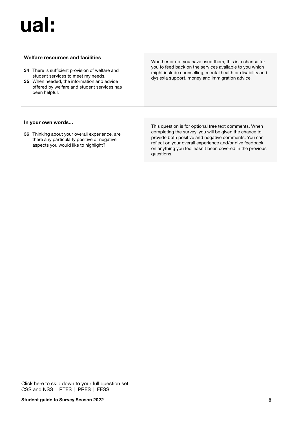### ual l!

#### Welfare resources and facilities

- **34** There is sufficient provision of welfare and student services to meet my needs.
- **35** When needed, the information and advice offered by welfare and student services has been helpful.

Whether or not you have used them, this is a chance for you to feed back on the services available to you which might include counselling, mental health or disability and dyslexia support, money and immigration advice.

#### In your own words...

**36** Thinking about your overall experience, are there any particularly positive or negative aspects you would like to highlight?

This question is for optional free text comments. When completing the survey, you will be given the chance to provide both positive and negative comments. You can reflect on your overall experience and/or give feedback on anything you feel hasn't been covered in the previous questions.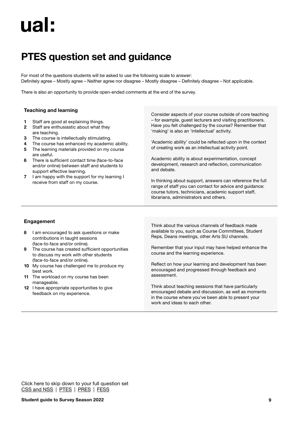### <span id="page-8-0"></span>PTES question set and guidance

For most of the questions students will be asked to use the following scale to answer: Definitely agree – Mostly agree – Neither agree nor disagree – Mostly disagree – Definitely disagree – Not applicable.

There is also an opportunity to provide open-ended comments at the end of the survey.

#### Teaching and learning

- **1** Staff are good at explaining things.
- **2** Staff are enthusiastic about what they are teaching.
- **3** The course is intellectually stimulating.
- **4** The course has enhanced my academic ability.
- **5** The learning materials provided on my course are useful.
- **6** There is sufficient contact time (face-to-face and/or online) between staff and students to support effective learning.
- **7** I am happy with the support for my learning I receive from staff on my course.

Consider aspects of your course outside of core teaching – for example, guest lecturers and visiting practitioners. Have you felt challenged by the course? Remember that 'making' is also an 'intellectual' activity.

'Academic ability' could be reflected upon in the context of creating work as an intellectual activity point.

Academic ability is about experimentation, concept development, research and reflection, communication and debate.

In thinking about support, answers can reference the full range of staff you can contact for advice and guidance: course tutors, technicians, academic support staff, librarians, administrators and others.

#### Engagement

- **8** I am encouraged to ask questions or make contributions in taught sessions (face-to-face and/or online).
- **9** The course has created sufficient opportunities to discuss my work with other students (face-to-face and/or online).
- **10** My course has challenged me to produce my best work.
- **11** The workload on my course has been manageable.
- **12** I have appropriate opportunities to give feedback on my experience.

Think about the various channels of feedback made available to you, such as Course Committees, Student Reps, Deans meetings, other Arts SU channels.

Remember that your input may have helped enhance the course and the learning experience.

Reflect on how your learning and development has been encouraged and progressed through feedback and assessment.

Think about teaching sessions that have particularly encouraged debate and discussion, as well as moments in the course where you've been able to present your work and ideas to each other.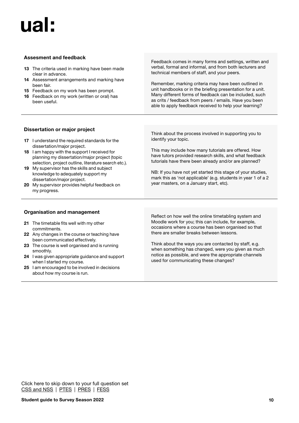#### Assesment and feedback

- **13** The criteria used in marking have been made clear in advance.
- **14** Assessment arrangements and marking have been fair.
- **15** Feedback on my work has been prompt.
- **16** Feedback on my work (written or oral) has been useful.

Feedback comes in many forms and settings, written and verbal, formal and informal, and from both lecturers and technical members of staff, and your peers.

Remember, marking criteria may have been outlined in unit handbooks or in the briefing presentation for a unit. Many different forms of feedback can be included, such as crits / feedback from peers / emails. Have you been able to apply feedback received to help your learning?

#### Dissertation or major project

- **17** I understand the required standards for the dissertation/major project.
- **18** I am happy with the support I received for planning my dissertation/major project (topic selection, project outline, literature search etc.).
- **19** My supervisor has the skills and subject knowledge to adequately support my dissertation/major project.
- **20** My supervisor provides helpful feedback on my progress.

Think about the process involved in supporting you to identify your topic.

This may include how many tutorials are offered. How have tutors provided research skills, and what feedback tutorials have there been already and/or are planned?

NB: If you have not yet started this stage of your studies, mark this as 'not applicable' (e.g. students in year 1 of a 2 year masters, on a January start, etc).

#### Organisation and management

- **21** The timetable fits well with my other commitments.
- **22** Any changes in the course or teaching have been communicated effectively.
- **23** The course is well organised and is running smoothly.
- **24** I was given appropriate guidance and support when I started my course.
- **25** I am encouraged to be involved in decisions about how my course is run.

Reflect on how well the online timetabling system and Moodle work for you; this can include, for example, occasions where a course has been organised so that there are smaller breaks between lessons.

Think about the ways you are contacted by staff, e.g. when something has changed, were you given as much notice as possible, and were the appropriate channels used for communicating these changes?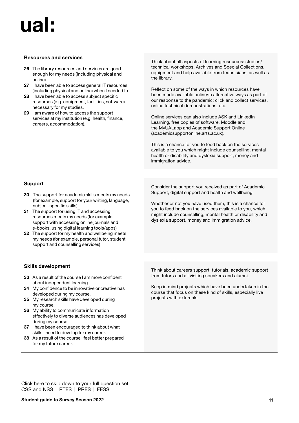#### Resources and services

- **26** The library resources and services are good enough for my needs (including physical and online).
- **27** I have been able to access general IT resources (including physical and online) when I needed to.
- **28** I have been able to access subject specific resources (e.g. equipment, facilities, software) necessary for my studies.
- **29** I am aware of how to access the support services at my institution (e.g. health, finance, careers, accommodation).

Think about all aspects of learning resources: studios/ technical workshops, Archives and Special Collections, equipment and help available from technicians, as well as the library.

Reflect on some of the ways in which resources have been made available online/in alternative ways as part of our response to the pandemic: click and collect services, online technical demonstrations, etc.

Online services can also include ASK and LinkedIn Learning, free copies of software, Moodle and the MyUALapp and Academic Support Online (academicsupportonline.arts.ac.uk).

This is a chance for you to feed back on the services available to you which might include counselling, mental health or disability and dyslexia support, money and immigration advice.

#### Support

- **30** The support for academic skills meets my needs (for example, support for your writing, language, subject-specific skills)
- **31** The support for using IT and accessing resources meets my needs (for example, support with accessing online journals and e-books, using digital learning tools/apps)
- **32** The support for my health and wellbeing meets my needs (for example, personal tutor, student support and counselling services)

Consider the support you received as part of Academic Support, digital support and health and wellbeing.

Whether or not you have used them, this is a chance for you to feed back on the services available to you, which might include counselling, mental health or disability and dyslexia support, money and immigration advice.

#### Skills development

- **33** As a result of the course I am more confident about independent learning.
- **34** My confidence to be innovative or creative has developed during my course.
- **35** My research skills have developed during my course.
- **36** My ability to communicate information effectively to diverse audiences has developed during my course.
- **37** I have been encouraged to think about what skills I need to develop for my career.
- **38** As a result of the course I feel better prepared for my future career.

Think about careers support, tutorials, academic support from tutors and all visiting speakers and alumni.

Keep in mind projects which have been undertaken in the course that focus on these kind of skills, especially live projects with externals.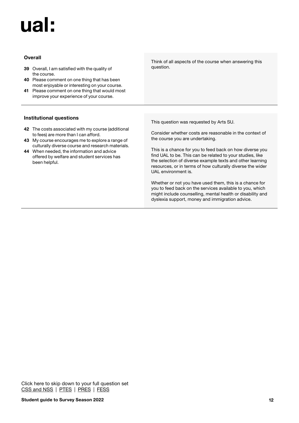## $II2$

#### **Overall**

- **39** Overall, I am satisfied with the quality of the course.
- **40** Please comment on one thing that has been most enjoyable or interesting on your course.
- **41** Please comment on one thing that would most improve your experience of your course.

#### Institutional questions

- **42** The costs associated with my course (additional to fees) are more than I can afford.
- **43** My course encourages me to explore a range of culturally diverse course and research materials.
- **44** When needed, the information and advice offered by welfare and student services has been helpful.

Think of all aspects of the course when answering this question.

This question was requested by Arts SU.

Consider whether costs are reasonable in the context of the course you are undertaking.

This is a chance for you to feed back on how diverse you find UAL to be. This can be related to your studies, like the selection of diverse example texts and other learning resources, or in terms of how culturally diverse the wider UAL environment is.

Whether or not you have used them, this is a chance for you to feed back on the services available to you, which might include counselling, mental health or disability and dyslexia support, money and immigration advice.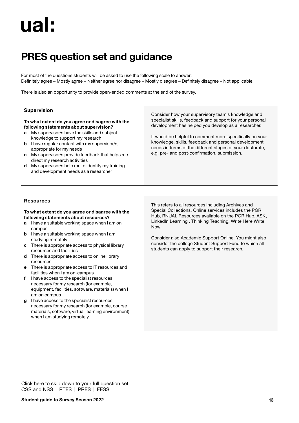### <span id="page-12-0"></span>PRES question set and guidance

For most of the questions students will be asked to use the following scale to answer: Definitely agree – Mostly agree – Neither agree nor disagree – Mostly disagree – Definitely disagree – Not applicable.

There is also an opportunity to provide open-ended comments at the end of the survey.

#### Supervision

#### To what extent do you agree or disagree with the following statements about supervision?

- **a** My supervisor/s have the skills and subject knowledge to support my research
- **b** I have regular contact with my supervisor/s, appropriate for my needs
- **c** My supervisor/s provide feedback that helps me direct my research activities
- **d** My supervisor/s help me to identify my training and development needs as a researcher

Consider how your supervisory team's knowledge and specialist skills, feedback and support for your personal development has helped you develop as a researcher.

It would be helpful to comment more specifically on your knowledge, skills, feedback and personal development needs in terms of the different stages of your doctorate, e.g. pre- and post-confirmation, submission.

#### Resources

#### To what extent do you agree or disagree with the following statements about resources?

- **a** I have a suitable working space when I am on campus
- **b** I have a suitable working space when I am studying remotely
- **c** There is appropriate access to physical library resources and facilities
- **d** There is appropriate access to online library resources
- **e** There is appropriate access to IT resources and facilities when I am on-campus
- **f** I have access to the specialist resources necessary for my research (for example, equipment, facilities, software, materials) when I am on campus
- **g** I have access to the specialist resources necessary for my research (for example, course materials, software, virtual learning environment) when I am studying remotely

This refers to all resources including Archives and Special Collections. Online services includes the PGR Hub, RNUAL Resources available on the PGR Hub, ASK, LinkedIn Learning , Thinking Teaching, Write Here Write Now.

Consider also Academic Support Online. You might also consider the college Student Support Fund to which all students can apply to support their research.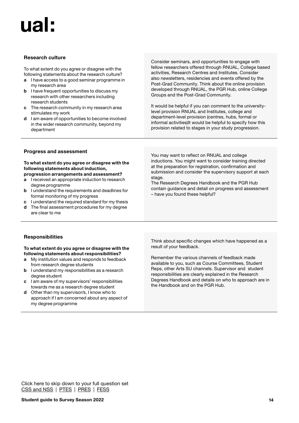#### Research culture

To what extent do you agree or disagree with the following statements about the research culture?

- **a** I have access to a good seminar programme in my research area
- **b** I have frequent opportunities to discuss my research with other researchers including research students
- **c** The research community in my research area stimulates my work
- **d** I am aware of opportunities to become involved in the wider research community, beyond my department

Consider seminars, and opportunities to engage with fellow researchers offered through RNUAL, College based activities, Research Centres and Institutes. Consider also newsletters, residencies and events offered by the Post-Grad Community. Think about the online provision developed through RNUAL, the PGR Hub, online College Groups and the Post-Grad Community.

It would be helpful if you can comment to the universitylevel provision RNUAL and Institutes, college and department-level provision (centres, hubs, formal or informal activities)It would be helpful to specify how this provision related to stages in your study progression.

#### Progress and assessment

#### To what extent do you agree or disagree with the following statements about induction, progression arrangements and assessment?

- **a** I received an appropriate induction to research degree programme
- **b** I understand the requirements and deadlines for formal monitoring of my progress
- **c** I understand the required standard for my thesis
- **d** The final assessment procedures for my degree are clear to me

You may want to reflect on RNUAL and college inductions. You might want to consider training directed at the preparation for registration, confirmation and submission and consider the supervisory support at each stage.

The Research Degrees Handbook and the PGR Hub contain guidance and detail on progress and assessment – have you found these helpful?

#### **Responsibilities**

#### To what extent do you agree or disagree with the following statements about responsibilities?

- **a** My institution values and responds to feedback from research degree students
- **b** I understand my responsibilities as a research degree student
- **c** I am aware of my supervisors' responsibilities towards me as a research degree student
- **d** Other than my supervisor/s, I know who to approach if I am concerned about any aspect of my degree programme

Think about specific changes which have happened as a result of your feedback.

Remember the various channels of feedback made available to you, such as Course Committees, Student Reps, other Arts SU channels. Supervisor and student responsibilities are clearly explained in the Research Degrees Handbook and details on who to approach are in the Handbook and on the PGR Hub.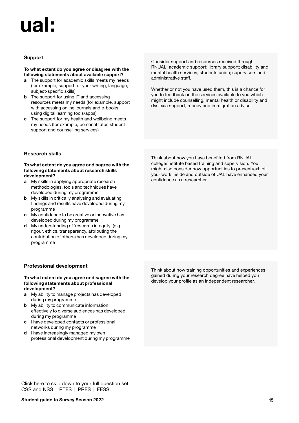#### **Support**

#### To what extent do you agree or disagree with the following statements about available support?

- **a** The support for academic skills meets my needs (for example, support for your writing, language, subject-specific skills)
- **b** The support for using IT and accessing resources meets my needs (for example, support with accessing online journals and e-books, using digital learning tools/apps)
- **c** The support for my health and wellbeing meets my needs (for example, personal tutor, student support and counselling services)

Consider support and resources received through RNUAL; academic support; library support; disability and mental health services; students union; supervisors and administrative staff.

Whether or not you have used them, this is a chance for you to feedback on the services available to you which might include counselling, mental health or disability and dyslexia support, money and immigration advice.

#### Research skills

#### To what extent do you agree or disagree with the following statements about research skills development?

- **a** My skills in applying appropriate research methodologies, tools and techniques have developed during my programme
- **b** My skills in critically analysing and evaluating findings and results have developed during my programme
- **c** My confidence to be creative or innovative has developed during my programme
- **d** My understanding of 'research integrity' (e.g. rigour, ethics, transparency, attributing the contribution of others) has developed during my programme

Think about how you have benefited from RNUAL, college/institute based training and supervision. You might also consider how opportunities to present/exhibit your work inside and outside of UAL have enhanced your confidence as a researcher.

#### Professional development

#### To what extent do you agree or disagree with the following statements about professional development?

- **a** My ability to manage projects has developed during my programme
- **b** My ability to communicate information effectively to diverse audiences has developed during my programme
- **c** I have developed contacts or professional networks during my programme
- **d** I have increasingly managed my own professional development during my programme

Think about how training opportunities and experiences gained during your research degree have helped you develop your profile as an independent researcher.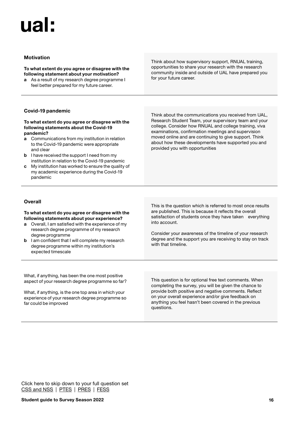#### Motivation

#### To what extent do you agree or disagree with the following statement about your motivation?

**a** As a result of my research degree programme I feel better prepared for my future career.

Think about how supervisory support, RNUAL training, opportunities to share your research with the research community inside and outside of UAL have prepared you for your future career.

#### Covid-19 pandemic

#### To what extent do you agree or disagree with the following statements about the Covid-19 pandemic?

- **a** Communications from my institution in relation to the Covid-19 pandemic were appropriate and clear
- **b** I have received the support I need from my institution in relation to the Covid-19 pandemic
- **c** My institution has worked to ensure the quality of my academic experience during the Covid-19 pandemic

Think about the communications you received from UAL, Research Student Team, your supervisory team and your college. Consider how RNUAL and college training, viva examinations, confirmation meetings and supervision moved online and are continuing to give support. Think about how these developments have supported you and provided you with opportunities

#### **Overall**

#### To what extent do you agree or disagree with the following statements about your experience?

- **a** Overall, I am satisfied with the experience of my research degree programme of my research degree programme
- **b** I am confident that I will complete my research degree programme within my institution's expected timescale

This is the question which is referred to most once results are published. This is because it reflects the overall satisfaction of students once they have taken everything into account.

Consider your awareness of the timeline of your research degree and the support you are receiving to stay on track with that timeline.

What, if anything, has been the one most positive aspect of your research degree programme so far?

What, if anything, is the one top area in which your experience of your research degree programme so far could be improved

This question is for optional free text comments. When completing the survey, you will be given the chance to provide both positive and negative comments. Reflect on your overall experience and/or give feedback on anything you feel hasn't been covered in the previous questions.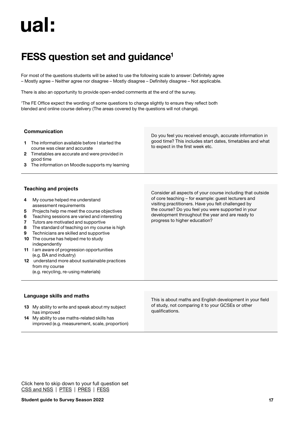### <span id="page-16-0"></span>FESS question set and guidance<sup>1</sup>

For most of the questions students will be asked to use the following scale to answer: Definitely agree – Mostly agree – Neither agree nor disagree – Mostly disagree – Definitely disagree – Not applicable.

There is also an opportunity to provide open-ended comments at the end of the survey.

1 The FE Office expect the wording of some questions to change slightly to ensure they reflect both blended and online course delivery (The areas covered by the questions will not change).

| 3.               | Communication<br>The information available before I started the<br>course was clear and accurate<br>2 Timetables are accurate and were provided in<br>good time<br>The information on Moodle supports my learning               | Do you feel you received enough, accurate information in<br>good time? This includes start dates, timetables and what<br>to expect in the first week etc.                                                                                                                                                           |
|------------------|---------------------------------------------------------------------------------------------------------------------------------------------------------------------------------------------------------------------------------|---------------------------------------------------------------------------------------------------------------------------------------------------------------------------------------------------------------------------------------------------------------------------------------------------------------------|
| 4<br>5<br>6<br>7 | <b>Teaching and projects</b><br>My course helped me understand<br>assessment requirements<br>Projects help me meet the course objectives<br>Teaching sessions are varied and interesting<br>Tutors are motivated and supportive | Consider all aspects of your course including that outside<br>of core teaching – for example: quest lecturers and<br>visiting practitioners. Have you felt challenged by<br>the course? Do you feel you were supported in your<br>development throughout the year and are ready to<br>progress to higher education? |

#### Language skills and maths

independently

from my course

(e.g. BA and industry)

**13** My ability to write and speak about my subject has improved

**8** The standard of teaching on my course is high **9** Technicians are skilled and supportive **10** The course has helped me to study

**12** understand more about sustainable practices

**11** I am aware of progression opportunities

(e.g. recycling, re-using materials)

**14** My ability to use maths-related skills has improved (e.g. measurement, scale, proportion) This is about maths and English development in your field of study, not comparing it to your GCSEs or other qualifications.